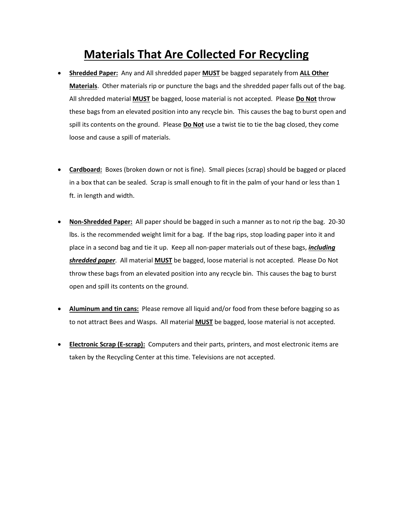## **Materials That Are Collected For Recycling**

- **Shredded Paper:** Any and All shredded paper **MUST** be bagged separately from **ALL Other Materials**. Other materials rip or puncture the bags and the shredded paper falls out of the bag. All shredded material **MUST** be bagged, loose material is not accepted. Please **Do Not** throw these bags from an elevated position into any recycle bin. This causes the bag to burst open and spill its contents on the ground. Please **Do Not** use a twist tie to tie the bag closed, they come loose and cause a spill of materials.
- **Cardboard:** Boxes (broken down or not is fine). Small pieces (scrap) should be bagged or placed in a box that can be sealed. Scrap is small enough to fit in the palm of your hand or less than 1 ft. in length and width.
- **Non-Shredded Paper:** All paper should be bagged in such a manner as to not rip the bag. 20-30 lbs. is the recommended weight limit for a bag. If the bag rips, stop loading paper into it and place in a second bag and tie it up. Keep all non-paper materials out of these bags, *including shredded paper*. All material **MUST** be bagged, loose material is not accepted. Please Do Not throw these bags from an elevated position into any recycle bin. This causes the bag to burst open and spill its contents on the ground.
- **Aluminum and tin cans:** Please remove all liquid and/or food from these before bagging so as to not attract Bees and Wasps. All material **MUST** be bagged, loose material is not accepted.
- **Electronic Scrap (E-scrap):** Computers and their parts, printers, and most electronic items are taken by the Recycling Center at this time. Televisions are not accepted.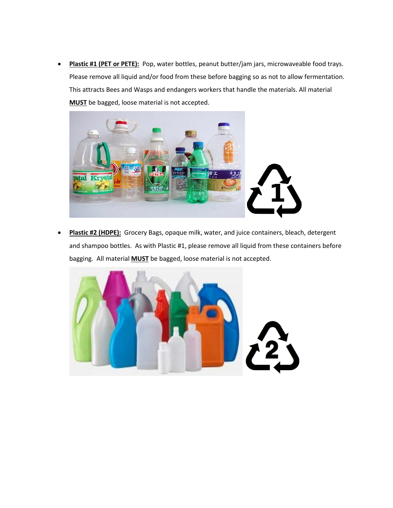• **Plastic #1 (PET or PETE):** Pop, water bottles, peanut butter/jam jars, microwaveable food trays. Please remove all liquid and/or food from these before bagging so as not to allow fermentation. This attracts Bees and Wasps and endangers workers that handle the materials. All material **MUST** be bagged, loose material is not accepted.



• **Plastic #2 (HDPE):** Grocery Bags, opaque milk, water, and juice containers, bleach, detergent and shampoo bottles. As with Plastic #1, please remove all liquid from these containers before bagging. All material **MUST** be bagged, loose material is not accepted.